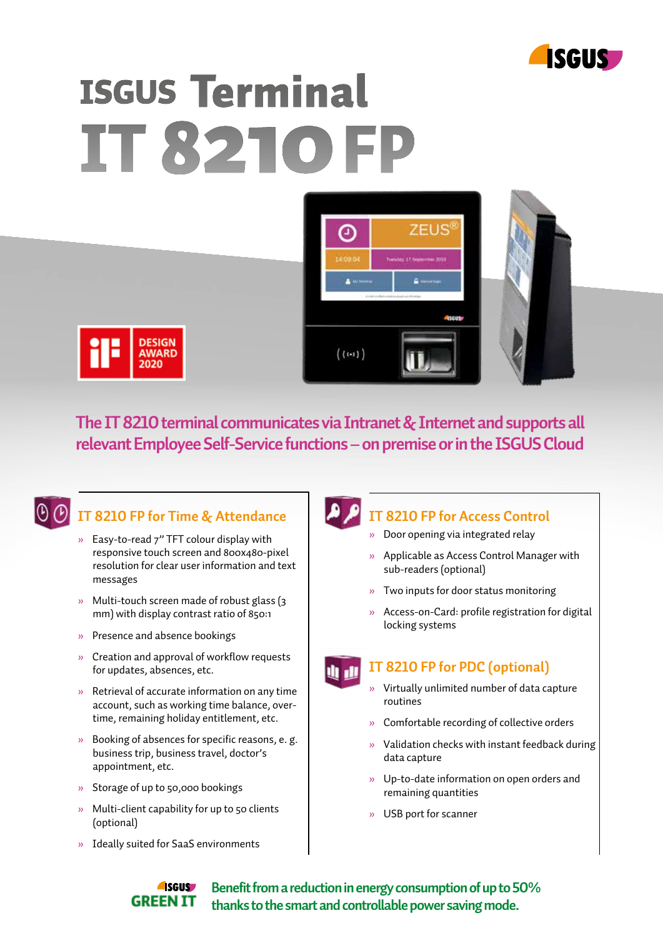

# **ISGUS Terminal** IT 8210 F





**The IT 8210 terminal communicates via Intranet & Internet and supports all relevant Employee Self-Service functions – on premise or in the ISGUS Cloud**



## **IT 8210 FP for Time & Attendance**

- » Easy-to-read 7" TFT colour display with responsive touch screen and 800x480-pixel resolution for clear user information and text messages
- » Multi-touch screen made of robust glass (3 mm) with display contrast ratio of 850:1
- » Presence and absence bookings
- » Creation and approval of workflow requests for updates, absences, etc.
- » Retrieval of accurate information on any time account, such as working time balance, over time, remaining holiday entitlement, etc.
- » Booking of absences for specific reasons, e. g. business trip, business travel, doctor's appointment, etc.
- » Storage of up to 50,000 bookings
- » Multi-client capability for up to 50 clients (optional)
- » Ideally suited for SaaS environments

## **IT 8210 FP for Access Control**

- » Door opening via integrated relay
- » Applicable as Access Control Manager with sub-readers (optional)
- » Two inputs for door status monitoring
- » Access-on-Card: profile registration for digital locking systems

#### **IT 8210 FP for PDC (optional)**

- » Virtually unlimited number of data capture routines
- » Comfortable recording of collective orders
- » Validation checks with instant feedback during data capture
- » Up-to-date information on open orders and remaining quantities
- » USB port for scanner

#### **A**sgus **Benefit from a reduction in energy consumption of up to 50% GREEN IT thanks to the smart and controllable power saving mode.**